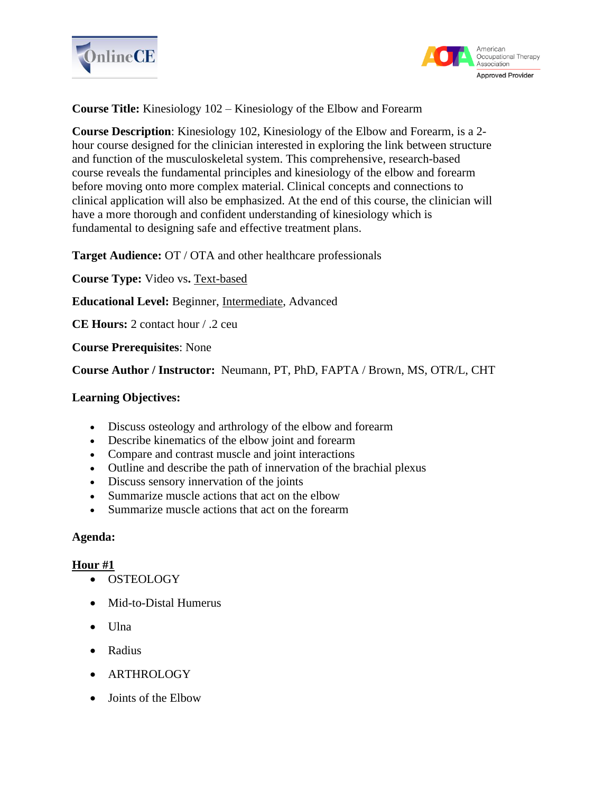



**Course Title:** Kinesiology 102 – Kinesiology of the Elbow and Forearm

**Course Description**: Kinesiology 102, Kinesiology of the Elbow and Forearm, is a 2 hour course designed for the clinician interested in exploring the link between structure and function of the musculoskeletal system. This comprehensive, research-based course reveals the fundamental principles and kinesiology of the elbow and forearm before moving onto more complex material. Clinical concepts and connections to clinical application will also be emphasized. At the end of this course, the clinician will have a more thorough and confident understanding of kinesiology which is fundamental to designing safe and effective treatment plans.

**Target Audience:** OT / OTA and other healthcare professionals

**Course Type:** Video vs**.** Text-based

**Educational Level:** Beginner, Intermediate, Advanced

**CE Hours:** 2 contact hour / .2 ceu

**Course Prerequisites**: None

**Course Author / Instructor:** Neumann, PT, PhD, FAPTA / Brown, MS, OTR/L, CHT

## **Learning Objectives:**

- Discuss osteology and arthrology of the elbow and forearm
- Describe kinematics of the elbow joint and forearm
- Compare and contrast muscle and joint interactions
- Outline and describe the path of innervation of the brachial plexus
- Discuss sensory innervation of the joints
- Summarize muscle actions that act on the elbow
- Summarize muscle actions that act on the forearm

## **Agenda:**

## **Hour #1**

- OSTEOLOGY
- Mid-to-Distal Humerus
- Ulna
- Radius
- ARTHROLOGY
- Joints of the Elbow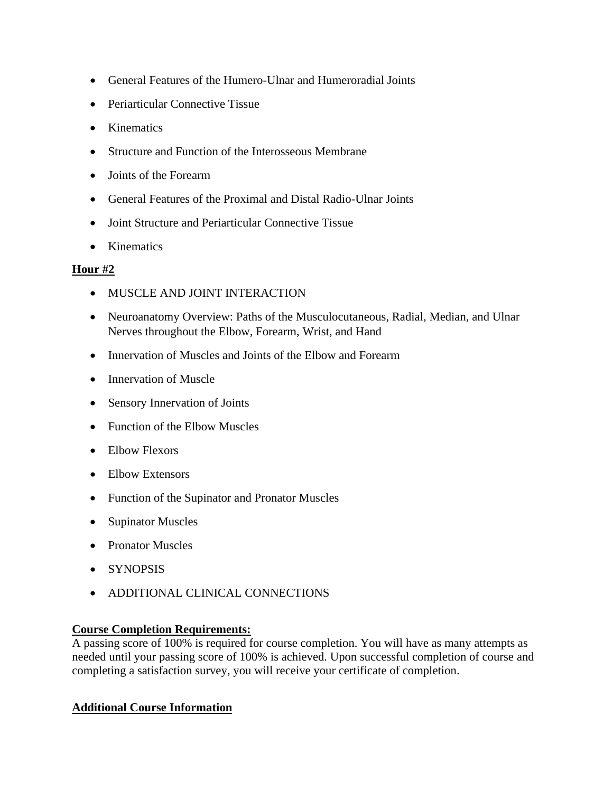- General Features of the Humero-Ulnar and Humeroradial Joints
- Periarticular Connective Tissue
- Kinematics
- Structure and Function of the Interosseous Membrane
- Joints of the Forearm
- General Features of the Proximal and Distal Radio-Ulnar Joints
- Joint Structure and Periarticular Connective Tissue
- Kinematics

# **Hour #2**

- MUSCLE AND JOINT INTERACTION
- Neuroanatomy Overview: Paths of the Musculocutaneous, Radial, Median, and Ulnar Nerves throughout the Elbow, Forearm, Wrist, and Hand
- Innervation of Muscles and Joints of the Elbow and Forearm
- Innervation of Muscle
- Sensory Innervation of Joints
- Function of the Elbow Muscles
- Elbow Flexors
- Elbow Extensors
- Function of the Supinator and Pronator Muscles
- Supinator Muscles
- Pronator Muscles
- SYNOPSIS
- ADDITIONAL CLINICAL CONNECTIONS

# **Course Completion Requirements:**

A passing score of 100% is required for course completion. You will have as many attempts as needed until your passing score of 100% is achieved. Upon successful completion of course and completing a satisfaction survey, you will receive your certificate of completion.

# **Additional Course Information**